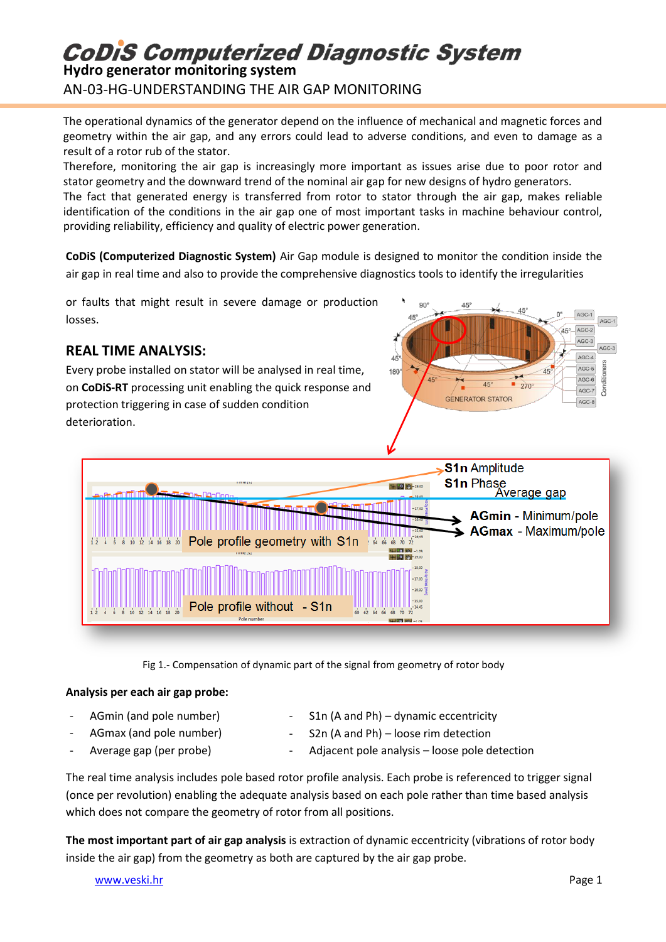# **CoDiS Computerized Diagnostic System**

**Hydro generator monitoring system** AN-03-HG-UNDERSTANDING THE AIR GAP MONITORING

The operational dynamics of the generator depend on the influence of mechanical and magnetic forces and geometry within the air gap, and any errors could lead to adverse conditions, and even to damage as a result of a rotor rub of the stator.

Therefore, monitoring the air gap is increasingly more important as issues arise due to poor rotor and stator geometry and the downward trend of the nominal air gap for new designs of hydro generators. The fact that generated energy is transferred from rotor to stator through the air gap, makes reliable

identification of the conditions in the air gap one of most important tasks in machine behaviour control, providing reliability, efficiency and quality of electric power generation.

**CoDiS (Computerized Diagnostic System)** Air Gap module is designed to monitor the condition inside the air gap in real time and also to provide the comprehensive diagnostics tools to identify the irregularities

 $90^{\circ}$ 

 $4\overrightarrow{5}$ 

180

 $45^\circ$ 

 $\overline{45}$ 

**GENERATOR STATOR** 

 $45^\circ$ 

 $270^\circ$ 

AGC-1

 $AGC-3$ 

Conditio AGC-6

 $ACC$ 

 $AGC-5$ 

AGC-7

AGC-8

or faults that might result in severe damage or production losses.

### **REAL TIME ANALYSIS:**

Every probe installed on stator will be analysed in real time, on **CoDiS-RT** processing unit enabling the quick response and protection triggering in case of sudden condition deterioration.



Fig 1.- Compensation of dynamic part of the signal from geometry of rotor body

#### **Analysis per each air gap probe:**

- AGmin (and pole number)
	- AGmax (and pole number)
- 
- S1n (A and Ph) dynamic eccentricity
- S2n (A and Ph) loose rim detection
- Average gap (per probe)
- Adjacent pole analysis loose pole detection

The real time analysis includes pole based rotor profile analysis. Each probe is referenced to trigger signal (once per revolution) enabling the adequate analysis based on each pole rather than time based analysis which does not compare the geometry of rotor from all positions.

**The most important part of air gap analysis** is extraction of dynamic eccentricity (vibrations of rotor body inside the air gap) from the geometry as both are captured by the air gap probe.